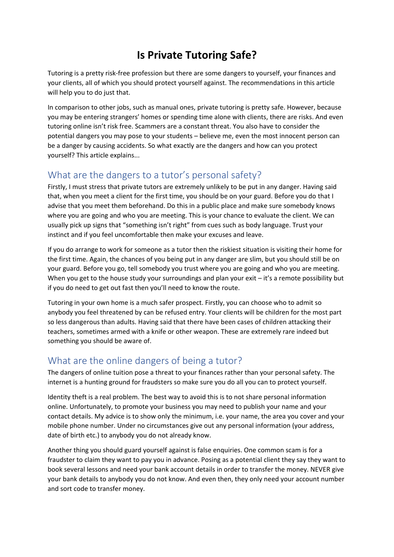## **Is Private Tutoring Safe?**

Tutoring is a pretty risk-free profession but there are some dangers to yourself, your finances and your clients, all of which you should protect yourself against. The recommendations in this article will help you to do just that.

In comparison to other jobs, such as manual ones, private tutoring is pretty safe. However, because you may be entering strangers' homes or spending time alone with clients, there are risks. And even tutoring online isn't risk free. Scammers are a constant threat. You also have to consider the potential dangers you may pose to your students – believe me, even the most innocent person can be a danger by causing accidents. So what exactly are the dangers and how can you protect yourself? This article explains...

## What are the dangers to a tutor's personal safety?

Firstly, I must stress that private tutors are extremely unlikely to be put in any danger. Having said that, when you meet a client for the first time, you should be on your guard. Before you do that I advise that you meet them beforehand. Do this in a public place and make sure somebody knows where you are going and who you are meeting. This is your chance to evaluate the client. We can usually pick up signs that "something isn't right" from cues such as body language. Trust your instinct and if you feel uncomfortable then make your excuses and leave.

If you do arrange to work for someone as a tutor then the riskiest situation is visiting their home for the first time. Again, the chances of you being put in any danger are slim, but you should still be on your guard. Before you go, tell somebody you trust where you are going and who you are meeting. When you get to the house study your surroundings and plan your exit - it's a remote possibility but if you do need to get out fast then you'll need to know the route.

Tutoring in your own home is a much safer prospect. Firstly, you can choose who to admit so anybody you feel threatened by can be refused entry. Your clients will be children for the most part so less dangerous than adults. Having said that there have been cases of children attacking their teachers, sometimes armed with a knife or other weapon. These are extremely rare indeed but something you should be aware of.

## What are the online dangers of being a tutor?

The dangers of online tuition pose a threat to your finances rather than your personal safety. The internet is a hunting ground for fraudsters so make sure you do all you can to protect yourself.

Identity theft is a real problem. The best way to avoid this is to not share personal information online. Unfortunately, to promote your business you may need to publish your name and your contact details. My advice is to show only the minimum, i.e. your name, the area you cover and your mobile phone number. Under no circumstances give out any personal information (your address, date of birth etc.) to anybody you do not already know.

Another thing you should guard yourself against is false enquiries. One common scam is for a fraudster to claim they want to pay you in advance. Posing as a potential client they say they want to book several lessons and need your bank account details in order to transfer the money. NEVER give your bank details to anybody you do not know. And even then, they only need your account number and sort code to transfer money.